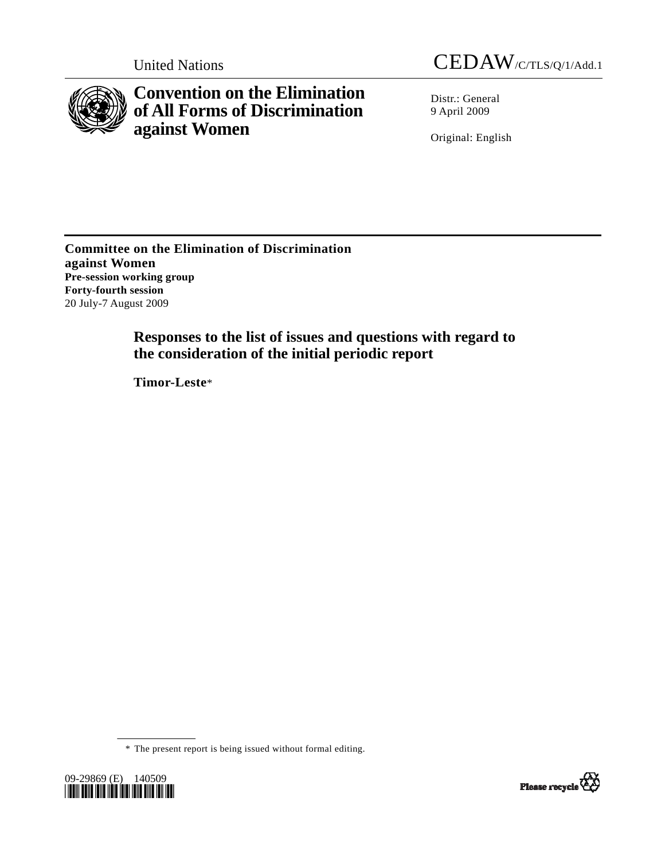

**Convention on the Elimination of All Forms of Discrimination against Women** 

United Nations CEDAW/C/TLS/Q/1/Add.1

Distr.: General 9 April 2009

Original: English

**Committee on the Elimination of Discrimination against Women Pre-session working group Forty-fourth session**  20 July-7 August 2009

> **Responses to the list of issues and questions with regard to the consideration of the initial periodic report**

 **Timor-Leste**\*

\* The present report is being issued without formal editing.



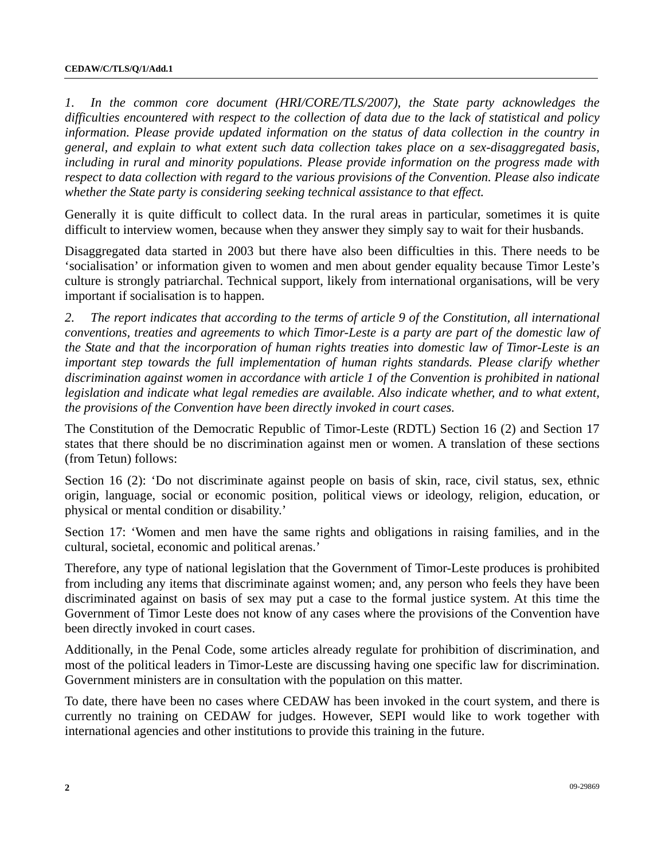*1. In the common core document (HRI/CORE/TLS/2007), the State party acknowledges the difficulties encountered with respect to the collection of data due to the lack of statistical and policy*  information. Please provide updated information on the status of data collection in the country in *general, and explain to what extent such data collection takes place on a sex-disaggregated basis, including in rural and minority populations. Please provide information on the progress made with respect to data collection with regard to the various provisions of the Convention. Please also indicate whether the State party is considering seeking technical assistance to that effect.* 

Generally it is quite difficult to collect data. In the rural areas in particular, sometimes it is quite difficult to interview women, because when they answer they simply say to wait for their husbands.

Disaggregated data started in 2003 but there have also been difficulties in this. There needs to be 'socialisation' or information given to women and men about gender equality because Timor Leste's culture is strongly patriarchal. Technical support, likely from international organisations, will be very important if socialisation is to happen.

*2. The report indicates that according to the terms of article 9 of the Constitution, all international conventions, treaties and agreements to which Timor-Leste is a party are part of the domestic law of the State and that the incorporation of human rights treaties into domestic law of Timor-Leste is an important step towards the full implementation of human rights standards. Please clarify whether discrimination against women in accordance with article 1 of the Convention is prohibited in national legislation and indicate what legal remedies are available. Also indicate whether, and to what extent, the provisions of the Convention have been directly invoked in court cases.* 

The Constitution of the Democratic Republic of Timor-Leste (RDTL) Section 16 (2) and Section 17 states that there should be no discrimination against men or women. A translation of these sections (from Tetun) follows:

Section 16 (2): 'Do not discriminate against people on basis of skin, race, civil status, sex, ethnic origin, language, social or economic position, political views or ideology, religion, education, or physical or mental condition or disability.'

Section 17: 'Women and men have the same rights and obligations in raising families, and in the cultural, societal, economic and political arenas.'

Therefore, any type of national legislation that the Government of Timor-Leste produces is prohibited from including any items that discriminate against women; and, any person who feels they have been discriminated against on basis of sex may put a case to the formal justice system. At this time the Government of Timor Leste does not know of any cases where the provisions of the Convention have been directly invoked in court cases.

Additionally, in the Penal Code, some articles already regulate for prohibition of discrimination, and most of the political leaders in Timor-Leste are discussing having one specific law for discrimination. Government ministers are in consultation with the population on this matter.

To date, there have been no cases where CEDAW has been invoked in the court system, and there is currently no training on CEDAW for judges. However, SEPI would like to work together with international agencies and other institutions to provide this training in the future.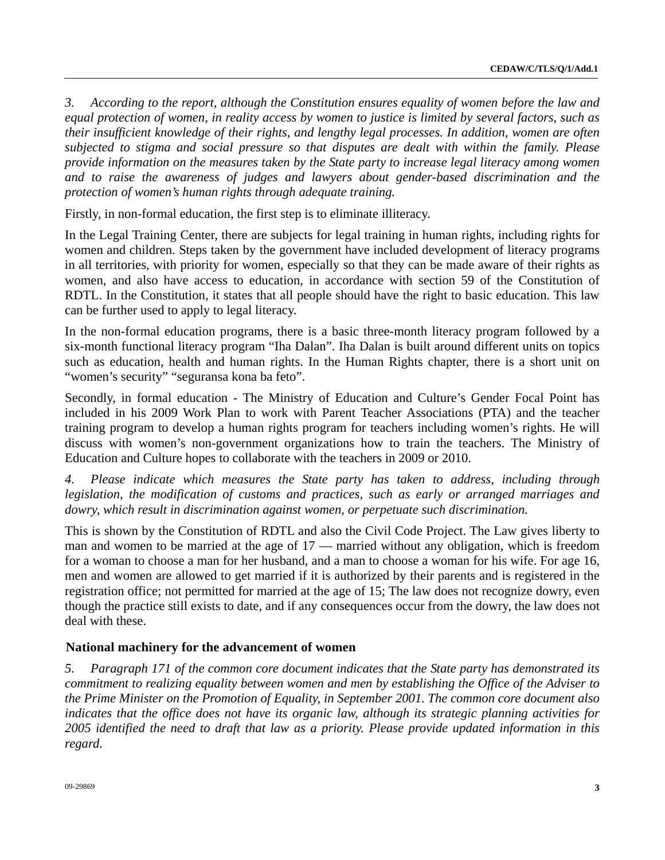*3. According to the report, although the Constitution ensures equality of women before the law and equal protection of women, in reality access by women to justice is limited by several factors, such as their insufficient knowledge of their rights, and lengthy legal processes. In addition, women are often subjected to stigma and social pressure so that disputes are dealt with within the family. Please provide information on the measures taken by the State party to increase legal literacy among women and to raise the awareness of judges and lawyers about gender-based discrimination and the protection of women's human rights through adequate training.* 

Firstly, in non-formal education, the first step is to eliminate illiteracy.

In the Legal Training Center, there are subjects for legal training in human rights, including rights for women and children. Steps taken by the government have included development of literacy programs in all territories, with priority for women, especially so that they can be made aware of their rights as women, and also have access to education, in accordance with section 59 of the Constitution of RDTL. In the Constitution, it states that all people should have the right to basic education. This law can be further used to apply to legal literacy.

In the non-formal education programs, there is a basic three-month literacy program followed by a six-month functional literacy program "Iha Dalan". Iha Dalan is built around different units on topics such as education, health and human rights. In the Human Rights chapter, there is a short unit on "women's security" "seguransa kona ba feto".

Secondly, in formal education - The Ministry of Education and Culture's Gender Focal Point has included in his 2009 Work Plan to work with Parent Teacher Associations (PTA) and the teacher training program to develop a human rights program for teachers including women's rights. He will discuss with women's non-government organizations how to train the teachers. The Ministry of Education and Culture hopes to collaborate with the teachers in 2009 or 2010.

*4. Please indicate which measures the State party has taken to address, including through legislation, the modification of customs and practices, such as early or arranged marriages and dowry, which result in discrimination against women, or perpetuate such discrimination.* 

This is shown by the Constitution of RDTL and also the Civil Code Project. The Law gives liberty to man and women to be married at the age of 17 — married without any obligation, which is freedom for a woman to choose a man for her husband, and a man to choose a woman for his wife. For age 16, men and women are allowed to get married if it is authorized by their parents and is registered in the registration office; not permitted for married at the age of 15; The law does not recognize dowry, even though the practice still exists to date, and if any consequences occur from the dowry, the law does not deal with these.

## **National machinery for the advancement of women**

*5. Paragraph 171 of the common core document indicates that the State party has demonstrated its commitment to realizing equality between women and men by establishing the Office of the Adviser to the Prime Minister on the Promotion of Equality, in September 2001. The common core document also indicates that the office does not have its organic law, although its strategic planning activities for 2005 identified the need to draft that law as a priority. Please provide updated information in this regard.*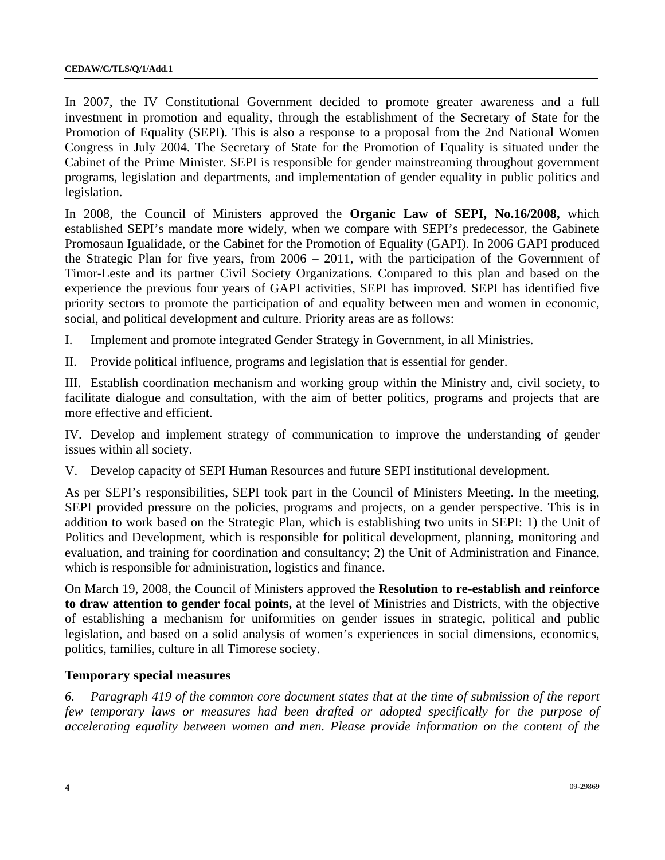In 2007, the IV Constitutional Government decided to promote greater awareness and a full investment in promotion and equality, through the establishment of the Secretary of State for the Promotion of Equality (SEPI). This is also a response to a proposal from the 2nd National Women Congress in July 2004. The Secretary of State for the Promotion of Equality is situated under the Cabinet of the Prime Minister. SEPI is responsible for gender mainstreaming throughout government programs, legislation and departments, and implementation of gender equality in public politics and legislation.

In 2008, the Council of Ministers approved the **Organic Law of SEPI, No.16/2008,** which established SEPI's mandate more widely, when we compare with SEPI's predecessor, the Gabinete Promosaun Igualidade, or the Cabinet for the Promotion of Equality (GAPI). In 2006 GAPI produced the Strategic Plan for five years, from 2006 – 2011, with the participation of the Government of Timor-Leste and its partner Civil Society Organizations. Compared to this plan and based on the experience the previous four years of GAPI activities, SEPI has improved. SEPI has identified five priority sectors to promote the participation of and equality between men and women in economic, social, and political development and culture. Priority areas are as follows:

- I. Implement and promote integrated Gender Strategy in Government, in all Ministries.
- II. Provide political influence, programs and legislation that is essential for gender.

III. Establish coordination mechanism and working group within the Ministry and, civil society, to facilitate dialogue and consultation, with the aim of better politics, programs and projects that are more effective and efficient.

IV. Develop and implement strategy of communication to improve the understanding of gender issues within all society.

V. Develop capacity of SEPI Human Resources and future SEPI institutional development.

As per SEPI's responsibilities, SEPI took part in the Council of Ministers Meeting. In the meeting, SEPI provided pressure on the policies, programs and projects, on a gender perspective. This is in addition to work based on the Strategic Plan, which is establishing two units in SEPI: 1) the Unit of Politics and Development, which is responsible for political development, planning, monitoring and evaluation, and training for coordination and consultancy; 2) the Unit of Administration and Finance, which is responsible for administration, logistics and finance.

On March 19, 2008, the Council of Ministers approved the **Resolution to re-establish and reinforce to draw attention to gender focal points,** at the level of Ministries and Districts, with the objective of establishing a mechanism for uniformities on gender issues in strategic, political and public legislation, and based on a solid analysis of women's experiences in social dimensions, economics, politics, families, culture in all Timorese society.

### **Temporary special measures**

*6. Paragraph 419 of the common core document states that at the time of submission of the report few temporary laws or measures had been drafted or adopted specifically for the purpose of accelerating equality between women and men. Please provide information on the content of the*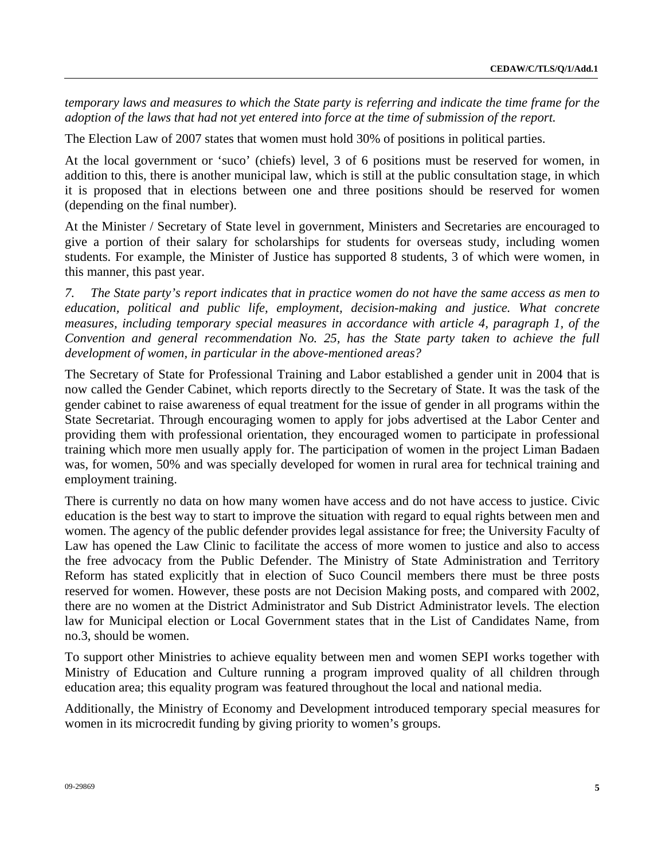*temporary laws and measures to which the State party is referring and indicate the time frame for the adoption of the laws that had not yet entered into force at the time of submission of the report.* 

The Election Law of 2007 states that women must hold 30% of positions in political parties.

At the local government or 'suco' (chiefs) level, 3 of 6 positions must be reserved for women, in addition to this, there is another municipal law, which is still at the public consultation stage, in which it is proposed that in elections between one and three positions should be reserved for women (depending on the final number).

At the Minister / Secretary of State level in government, Ministers and Secretaries are encouraged to give a portion of their salary for scholarships for students for overseas study, including women students. For example, the Minister of Justice has supported 8 students, 3 of which were women, in this manner, this past year.

*7. The State party's report indicates that in practice women do not have the same access as men to education, political and public life, employment, decision-making and justice. What concrete measures, including temporary special measures in accordance with article 4, paragraph 1, of the Convention and general recommendation No. 25, has the State party taken to achieve the full development of women, in particular in the above-mentioned areas?* 

The Secretary of State for Professional Training and Labor established a gender unit in 2004 that is now called the Gender Cabinet, which reports directly to the Secretary of State. It was the task of the gender cabinet to raise awareness of equal treatment for the issue of gender in all programs within the State Secretariat. Through encouraging women to apply for jobs advertised at the Labor Center and providing them with professional orientation, they encouraged women to participate in professional training which more men usually apply for. The participation of women in the project Liman Badaen was, for women, 50% and was specially developed for women in rural area for technical training and employment training.

There is currently no data on how many women have access and do not have access to justice. Civic education is the best way to start to improve the situation with regard to equal rights between men and women. The agency of the public defender provides legal assistance for free; the University Faculty of Law has opened the Law Clinic to facilitate the access of more women to justice and also to access the free advocacy from the Public Defender. The Ministry of State Administration and Territory Reform has stated explicitly that in election of Suco Council members there must be three posts reserved for women. However, these posts are not Decision Making posts, and compared with 2002, there are no women at the District Administrator and Sub District Administrator levels. The election law for Municipal election or Local Government states that in the List of Candidates Name, from no.3, should be women.

To support other Ministries to achieve equality between men and women SEPI works together with Ministry of Education and Culture running a program improved quality of all children through education area; this equality program was featured throughout the local and national media.

Additionally, the Ministry of Economy and Development introduced temporary special measures for women in its microcredit funding by giving priority to women's groups.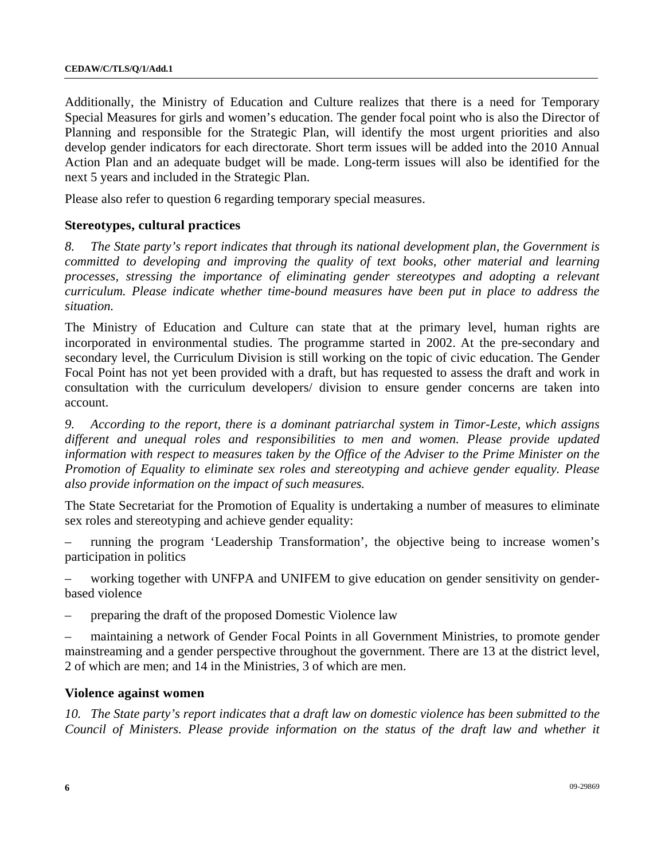Additionally, the Ministry of Education and Culture realizes that there is a need for Temporary Special Measures for girls and women's education. The gender focal point who is also the Director of Planning and responsible for the Strategic Plan, will identify the most urgent priorities and also develop gender indicators for each directorate. Short term issues will be added into the 2010 Annual Action Plan and an adequate budget will be made. Long-term issues will also be identified for the next 5 years and included in the Strategic Plan.

Please also refer to question 6 regarding temporary special measures.

### **Stereotypes, cultural practices**

*8. The State party's report indicates that through its national development plan, the Government is committed to developing and improving the quality of text books, other material and learning processes, stressing the importance of eliminating gender stereotypes and adopting a relevant curriculum. Please indicate whether time-bound measures have been put in place to address the situation.* 

The Ministry of Education and Culture can state that at the primary level, human rights are incorporated in environmental studies. The programme started in 2002. At the pre-secondary and secondary level, the Curriculum Division is still working on the topic of civic education. The Gender Focal Point has not yet been provided with a draft, but has requested to assess the draft and work in consultation with the curriculum developers/ division to ensure gender concerns are taken into account.

*9. According to the report, there is a dominant patriarchal system in Timor-Leste, which assigns different and unequal roles and responsibilities to men and women. Please provide updated information with respect to measures taken by the Office of the Adviser to the Prime Minister on the Promotion of Equality to eliminate sex roles and stereotyping and achieve gender equality. Please also provide information on the impact of such measures.* 

The State Secretariat for the Promotion of Equality is undertaking a number of measures to eliminate sex roles and stereotyping and achieve gender equality:

– running the program 'Leadership Transformation', the objective being to increase women's participation in politics

– working together with UNFPA and UNIFEM to give education on gender sensitivity on genderbased violence

– preparing the draft of the proposed Domestic Violence law

– maintaining a network of Gender Focal Points in all Government Ministries, to promote gender mainstreaming and a gender perspective throughout the government. There are 13 at the district level, 2 of which are men; and 14 in the Ministries, 3 of which are men.

### **Violence against women**

*10. The State party's report indicates that a draft law on domestic violence has been submitted to the Council of Ministers. Please provide information on the status of the draft law and whether it*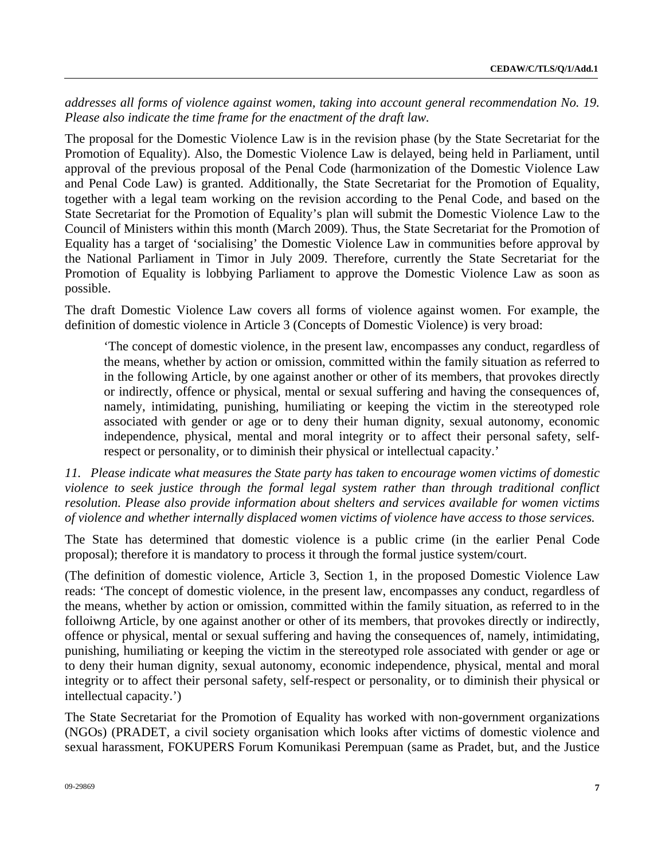addresses all forms of violence against women, taking into account general recommendation No. 19. *Please also indicate the time frame for the enactment of the draft law.* 

The proposal for the Domestic Violence Law is in the revision phase (by the State Secretariat for the Promotion of Equality). Also, the Domestic Violence Law is delayed, being held in Parliament, until approval of the previous proposal of the Penal Code (harmonization of the Domestic Violence Law and Penal Code Law) is granted. Additionally, the State Secretariat for the Promotion of Equality, together with a legal team working on the revision according to the Penal Code, and based on the State Secretariat for the Promotion of Equality's plan will submit the Domestic Violence Law to the Council of Ministers within this month (March 2009). Thus, the State Secretariat for the Promotion of Equality has a target of 'socialising' the Domestic Violence Law in communities before approval by the National Parliament in Timor in July 2009. Therefore, currently the State Secretariat for the Promotion of Equality is lobbying Parliament to approve the Domestic Violence Law as soon as possible.

The draft Domestic Violence Law covers all forms of violence against women. For example, the definition of domestic violence in Article 3 (Concepts of Domestic Violence) is very broad:

'The concept of domestic violence, in the present law, encompasses any conduct, regardless of the means, whether by action or omission, committed within the family situation as referred to in the following Article, by one against another or other of its members, that provokes directly or indirectly, offence or physical, mental or sexual suffering and having the consequences of, namely, intimidating, punishing, humiliating or keeping the victim in the stereotyped role associated with gender or age or to deny their human dignity, sexual autonomy, economic independence, physical, mental and moral integrity or to affect their personal safety, selfrespect or personality, or to diminish their physical or intellectual capacity.'

*11. Please indicate what measures the State party has taken to encourage women victims of domestic violence to seek justice through the formal legal system rather than through traditional conflict resolution. Please also provide information about shelters and services available for women victims of violence and whether internally displaced women victims of violence have access to those services.* 

The State has determined that domestic violence is a public crime (in the earlier Penal Code proposal); therefore it is mandatory to process it through the formal justice system/court.

(The definition of domestic violence, Article 3, Section 1, in the proposed Domestic Violence Law reads: 'The concept of domestic violence, in the present law, encompasses any conduct, regardless of the means, whether by action or omission, committed within the family situation, as referred to in the folloiwng Article, by one against another or other of its members, that provokes directly or indirectly, offence or physical, mental or sexual suffering and having the consequences of, namely, intimidating, punishing, humiliating or keeping the victim in the stereotyped role associated with gender or age or to deny their human dignity, sexual autonomy, economic independence, physical, mental and moral integrity or to affect their personal safety, self-respect or personality, or to diminish their physical or intellectual capacity.')

The State Secretariat for the Promotion of Equality has worked with non-government organizations (NGOs) (PRADET, a civil society organisation which looks after victims of domestic violence and sexual harassment, FOKUPERS Forum Komunikasi Perempuan (same as Pradet, but, and the Justice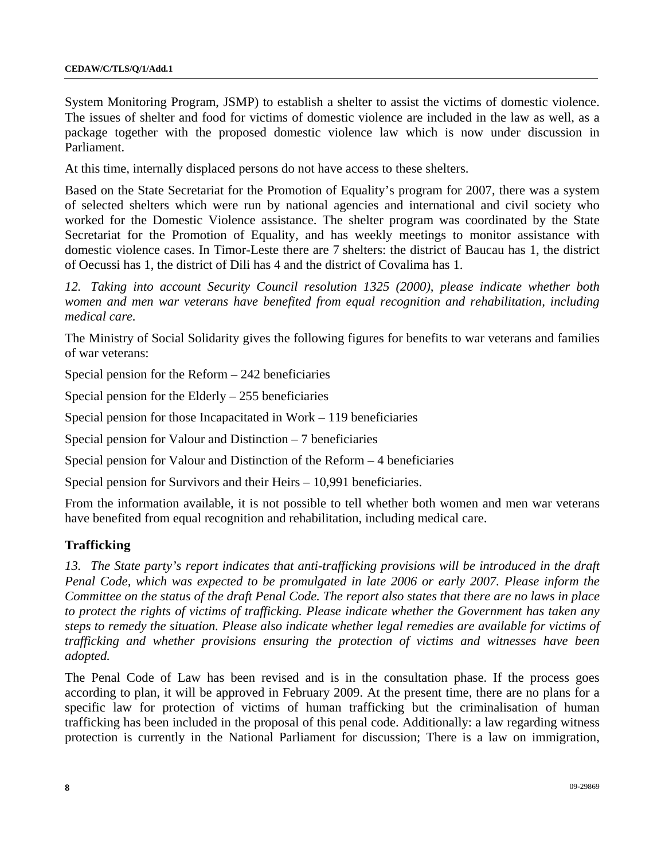System Monitoring Program, JSMP) to establish a shelter to assist the victims of domestic violence. The issues of shelter and food for victims of domestic violence are included in the law as well, as a package together with the proposed domestic violence law which is now under discussion in Parliament.

At this time, internally displaced persons do not have access to these shelters.

Based on the State Secretariat for the Promotion of Equality's program for 2007, there was a system of selected shelters which were run by national agencies and international and civil society who worked for the Domestic Violence assistance. The shelter program was coordinated by the State Secretariat for the Promotion of Equality, and has weekly meetings to monitor assistance with domestic violence cases. In Timor-Leste there are 7 shelters: the district of Baucau has 1, the district of Oecussi has 1, the district of Dili has 4 and the district of Covalima has 1.

*12. Taking into account Security Council resolution 1325 (2000), please indicate whether both women and men war veterans have benefited from equal recognition and rehabilitation, including medical care.* 

The Ministry of Social Solidarity gives the following figures for benefits to war veterans and families of war veterans:

Special pension for the Reform – 242 beneficiaries

Special pension for the Elderly  $-255$  beneficiaries

Special pension for those Incapacitated in Work – 119 beneficiaries

Special pension for Valour and Distinction – 7 beneficiaries

Special pension for Valour and Distinction of the Reform – 4 beneficiaries

Special pension for Survivors and their Heirs – 10,991 beneficiaries.

From the information available, it is not possible to tell whether both women and men war veterans have benefited from equal recognition and rehabilitation, including medical care.

## **Trafficking**

*13. The State party's report indicates that anti-trafficking provisions will be introduced in the draft Penal Code, which was expected to be promulgated in late 2006 or early 2007. Please inform the Committee on the status of the draft Penal Code. The report also states that there are no laws in place to protect the rights of victims of trafficking. Please indicate whether the Government has taken any steps to remedy the situation. Please also indicate whether legal remedies are available for victims of trafficking and whether provisions ensuring the protection of victims and witnesses have been adopted.* 

The Penal Code of Law has been revised and is in the consultation phase. If the process goes according to plan, it will be approved in February 2009. At the present time, there are no plans for a specific law for protection of victims of human trafficking but the criminalisation of human trafficking has been included in the proposal of this penal code. Additionally: a law regarding witness protection is currently in the National Parliament for discussion; There is a law on immigration,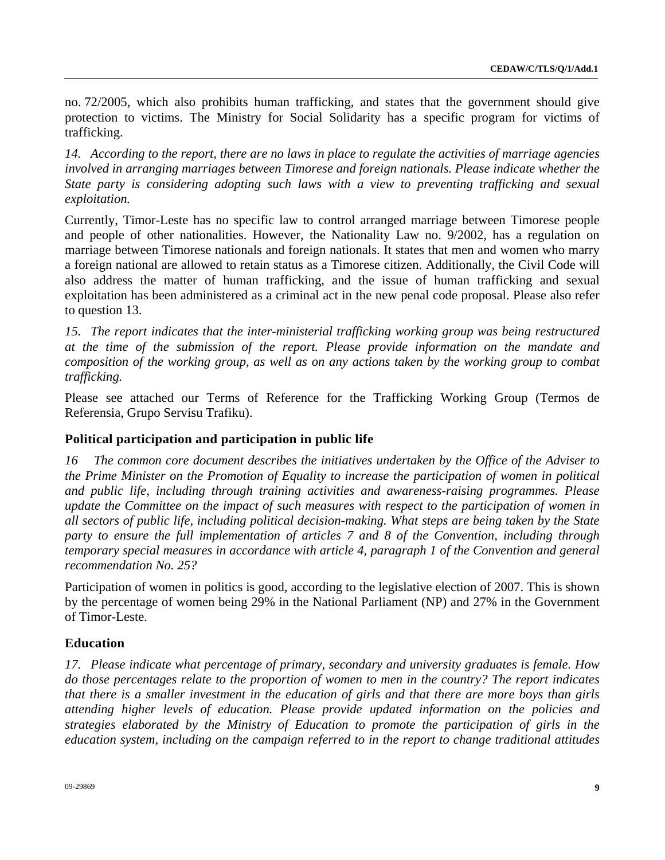no. 72/2005, which also prohibits human trafficking, and states that the government should give protection to victims. The Ministry for Social Solidarity has a specific program for victims of trafficking.

*14. According to the report, there are no laws in place to regulate the activities of marriage agencies involved in arranging marriages between Timorese and foreign nationals. Please indicate whether the State party is considering adopting such laws with a view to preventing trafficking and sexual exploitation.* 

Currently, Timor-Leste has no specific law to control arranged marriage between Timorese people and people of other nationalities. However, the Nationality Law no. 9/2002, has a regulation on marriage between Timorese nationals and foreign nationals. It states that men and women who marry a foreign national are allowed to retain status as a Timorese citizen. Additionally, the Civil Code will also address the matter of human trafficking, and the issue of human trafficking and sexual exploitation has been administered as a criminal act in the new penal code proposal. Please also refer to question 13.

*15. The report indicates that the inter-ministerial trafficking working group was being restructured at the time of the submission of the report. Please provide information on the mandate and composition of the working group, as well as on any actions taken by the working group to combat trafficking.* 

Please see attached our Terms of Reference for the Trafficking Working Group (Termos de Referensia, Grupo Servisu Trafiku).

## **Political participation and participation in public life**

*16 The common core document describes the initiatives undertaken by the Office of the Adviser to the Prime Minister on the Promotion of Equality to increase the participation of women in political and public life, including through training activities and awareness-raising programmes. Please update the Committee on the impact of such measures with respect to the participation of women in all sectors of public life, including political decision-making. What steps are being taken by the State party to ensure the full implementation of articles 7 and 8 of the Convention, including through temporary special measures in accordance with article 4, paragraph 1 of the Convention and general recommendation No. 25?* 

Participation of women in politics is good, according to the legislative election of 2007. This is shown by the percentage of women being 29% in the National Parliament (NP) and 27% in the Government of Timor-Leste.

### **Education**

*17. Please indicate what percentage of primary, secondary and university graduates is female. How do those percentages relate to the proportion of women to men in the country? The report indicates that there is a smaller investment in the education of girls and that there are more boys than girls attending higher levels of education. Please provide updated information on the policies and strategies elaborated by the Ministry of Education to promote the participation of girls in the education system, including on the campaign referred to in the report to change traditional attitudes*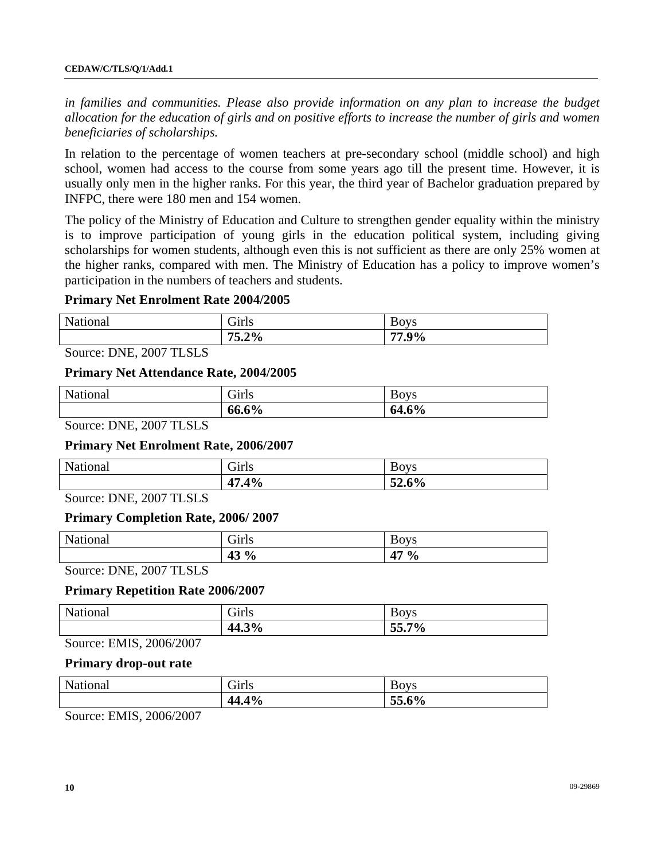*in families and communities. Please also provide information on any plan to increase the budget allocation for the education of girls and on positive efforts to increase the number of girls and women beneficiaries of scholarships.* 

In relation to the percentage of women teachers at pre-secondary school (middle school) and high school, women had access to the course from some years ago till the present time. However, it is usually only men in the higher ranks. For this year, the third year of Bachelor graduation prepared by INFPC, there were 180 men and 154 women.

The policy of the Ministry of Education and Culture to strengthen gender equality within the ministry is to improve participation of young girls in the education political system, including giving scholarships for women students, although even this is not sufficient as there are only 25% women at the higher ranks, compared with men. The Ministry of Education has a policy to improve women's participation in the numbers of teachers and students.

### **Primary Net Enrolment Rate 2004/2005**

| National | $\sim$<br>Giris | <b>BOVS</b> |
|----------|-----------------|-------------|
|          | 75.2%           | $9\%$<br>-- |

Source: DNE, 2007 TLSLS

#### **Primary Net Attendance Rate, 2004/2005**

| National | $\sim$ $\cdot$ $\sim$<br>Girls | <b>BOVS</b> |
|----------|--------------------------------|-------------|
|          | 66.6%                          | 64.6%       |

Source: DNE, 2007 TLSLS

### **Primary Net Enrolment Rate, 2006/2007**

| National                  | Girls | <b>BOVS</b> |
|---------------------------|-------|-------------|
|                           | 47.4% | 52.6%       |
| _ _ _ _ _ _ _ _ _ _ _ _ _ |       |             |

Source: DNE, 2007 TLSLS

### **Primary Completion Rate, 2006/ 2007**

| Nat<br>ona <sub>1</sub><br>1 4 C | $\sim$ $\cdot$<br>ا مە د<br>دىللىي | <b>BOVS</b>                     |
|----------------------------------|------------------------------------|---------------------------------|
|                                  | $\frac{13}{6}$<br>49               | $\overline{A}$<br>$\frac{0}{6}$ |
| ________________                 |                                    |                                 |

Source: DNE, 2007 TLSLS

#### **Primary Repetition Rate 2006/2007**

| National | $\sim$ $\cdot$ $\sim$<br>Girls | <b>BOVS</b> |
|----------|--------------------------------|-------------|
|          | 44.3%                          | $55.7\%$    |
|          |                                |             |

Source: EMIS, 2006/2007

#### **Primary drop-out rate**

| National | Girls | <b>BOVS</b> |
|----------|-------|-------------|
|          | 44.4% | 55.6%       |
| $\sim$   |       |             |

Source: EMIS, 2006/2007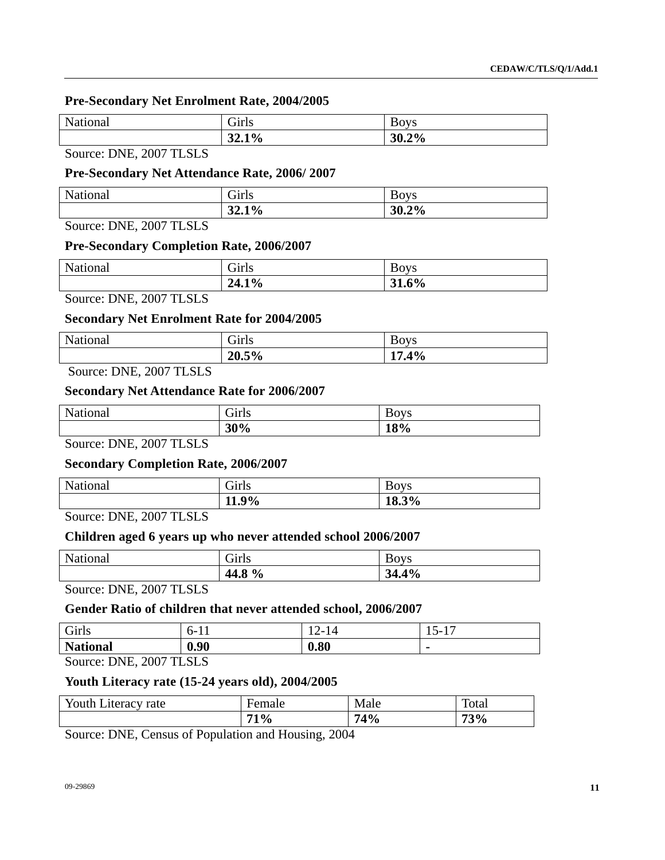## **Pre-Secondary Net Enrolment Rate, 2004/2005**

| National | Girls | <b>BOVS</b> |
|----------|-------|-------------|
|          | 32.1% | 30.2%       |
|          |       |             |

Source: DNE, 2007 TLSLS

### **Pre-Secondary Net Attendance Rate, 2006/ 2007**

| National | Girls | ∽<br><b>BOVS</b> |
|----------|-------|------------------|
|          | 32.1% | 30.2%            |

Source: DNE, 2007 TLSLS

### **Pre-Secondary Completion Rate, 2006/2007**

| National | $\sim$ $\cdot$ $\sim$ $\sim$<br>$-1$ rl $\in$<br>ОШЬ | T.<br><b>BOVS</b> |
|----------|------------------------------------------------------|-------------------|
|          | 24.1%                                                | 31.6%             |

Source: DNE, 2007 TLSLS

### **Secondary Net Enrolment Rate for 2004/2005**

| National | $\sim$ 1<br>Giris | ∽<br><b>BOVS</b> |
|----------|-------------------|------------------|
|          | 20.5%             | 17.4%            |

Source: DNE, 2007 TLSLS

### **Secondary Net Attendance Rate for 2006/2007**

| National         | <b>Girls</b> | <b>BOVS</b> |
|------------------|--------------|-------------|
|                  | 30%          | 18%         |
| ________________ |              |             |

Source: DNE, 2007 TLSLS

## **Secondary Completion Rate, 2006/2007**

|          | 9%<br>11<br>11,7 | 18.3%       |
|----------|------------------|-------------|
| National | Girls            | <b>Boys</b> |

Source: DNE, 2007 TLSLS

### **Children aged 6 years up who never attended school 2006/2007**

| National | Girls  | <b>Boys</b> |
|----------|--------|-------------|
|          | 44.8 % | 34.4%       |

Source: DNE, 2007 TLSLS

### **Gender Ratio of children that never attended school, 2006/2007**

| Girls           | $n-1$<br>. . | 1 <sub>0</sub><br>$\sqrt{2}$<br>$1 +$ | 1 m<br>$\overline{\phantom{0}}$<br>$1.3 - 7$<br>$\overline{\phantom{a}}$ |
|-----------------|--------------|---------------------------------------|--------------------------------------------------------------------------|
| <b>National</b> | 0.90         | 0.80                                  |                                                                          |

Source: DNE, 2007 TLSLS

## **Youth Literacy rate (15-24 years old), 2004/2005**

| Youth Literacy rate | ∹emale | Male | <b>Total</b> |
|---------------------|--------|------|--------------|
|                     | 71%    | 74%  | 73%          |

Source: DNE, Census of Population and Housing, 2004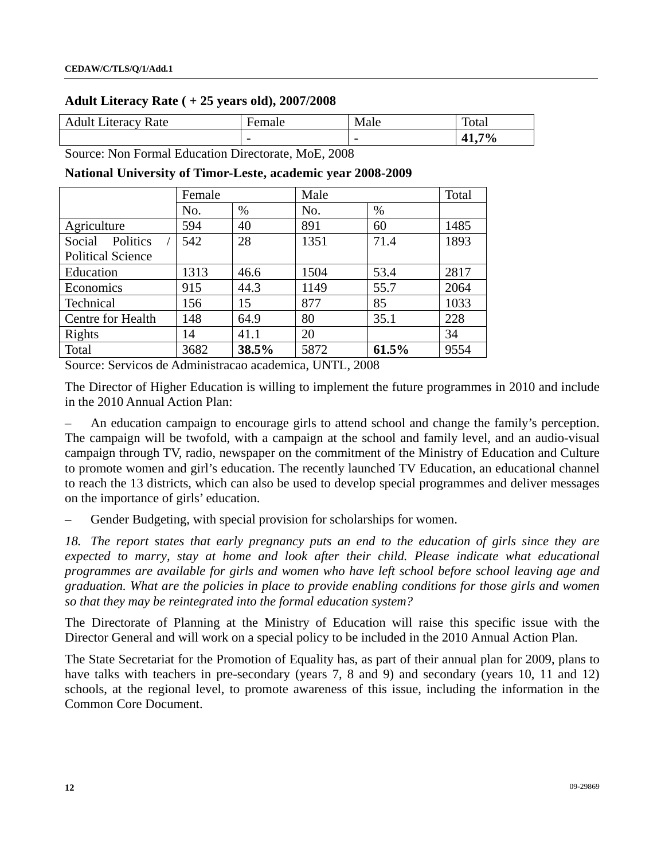### **Adult Literacy Rate ( + 25 years old), 2007/2008**

| Adult I<br>Literacy Rate | Female         | Male           | Total                        |
|--------------------------|----------------|----------------|------------------------------|
|                          | $\blacksquare$ | $\blacksquare$ | 7%<br>$\mathbf{A}^+$<br>T1.I |

Source: Non Formal Education Directorate, MoE, 2008

|                          | Female |       | Male |       | Total |
|--------------------------|--------|-------|------|-------|-------|
|                          | No.    | %     | No.  | %     |       |
| Agriculture              | 594    | 40    | 891  | 60    | 1485  |
| Politics<br>Social       | 542    | 28    | 1351 | 71.4  | 1893  |
| <b>Political Science</b> |        |       |      |       |       |
| Education                | 1313   | 46.6  | 1504 | 53.4  | 2817  |
| Economics                | 915    | 44.3  | 1149 | 55.7  | 2064  |
| <b>Technical</b>         | 156    | 15    | 877  | 85    | 1033  |
| Centre for Health        | 148    | 64.9  | 80   | 35.1  | 228   |
| Rights                   | 14     | 41.1  | 20   |       | 34    |
| Total                    | 3682   | 38.5% | 5872 | 61.5% | 9554  |

#### **National University of Timor-Leste, academic year 2008-2009**

Source: Servicos de Administracao academica, UNTL, 2008

The Director of Higher Education is willing to implement the future programmes in 2010 and include in the 2010 Annual Action Plan:

– An education campaign to encourage girls to attend school and change the family's perception. The campaign will be twofold, with a campaign at the school and family level, and an audio-visual campaign through TV, radio, newspaper on the commitment of the Ministry of Education and Culture to promote women and girl's education. The recently launched TV Education, an educational channel to reach the 13 districts, which can also be used to develop special programmes and deliver messages on the importance of girls' education.

– Gender Budgeting, with special provision for scholarships for women.

*18. The report states that early pregnancy puts an end to the education of girls since they are expected to marry, stay at home and look after their child. Please indicate what educational programmes are available for girls and women who have left school before school leaving age and graduation. What are the policies in place to provide enabling conditions for those girls and women so that they may be reintegrated into the formal education system?* 

The Directorate of Planning at the Ministry of Education will raise this specific issue with the Director General and will work on a special policy to be included in the 2010 Annual Action Plan.

The State Secretariat for the Promotion of Equality has, as part of their annual plan for 2009, plans to have talks with teachers in pre-secondary (years 7, 8 and 9) and secondary (years 10, 11 and 12) schools, at the regional level, to promote awareness of this issue, including the information in the Common Core Document.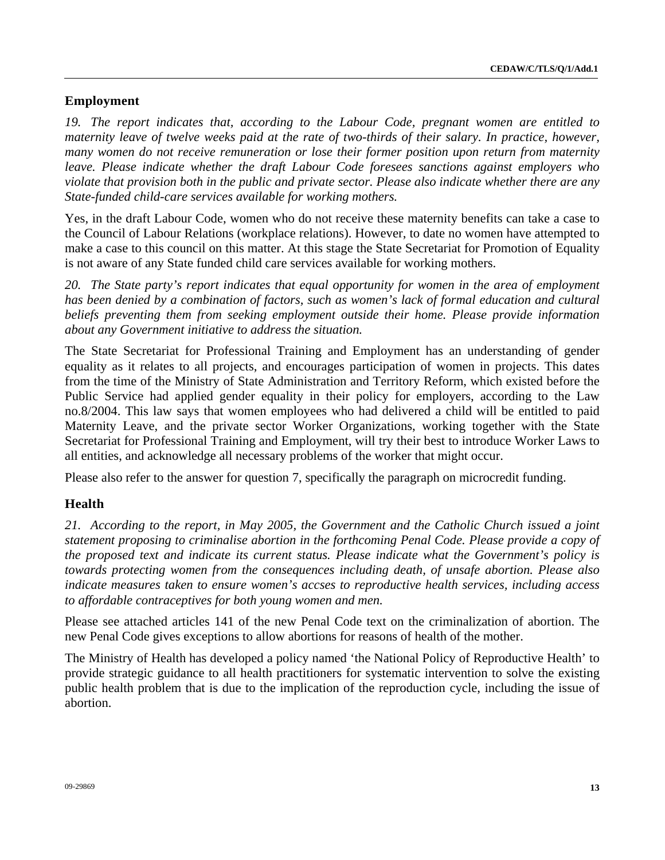# **Employment**

*19. The report indicates that, according to the Labour Code, pregnant women are entitled to maternity leave of twelve weeks paid at the rate of two-thirds of their salary. In practice, however, many women do not receive remuneration or lose their former position upon return from maternity leave. Please indicate whether the draft Labour Code foresees sanctions against employers who violate that provision both in the public and private sector. Please also indicate whether there are any State-funded child-care services available for working mothers.* 

Yes, in the draft Labour Code, women who do not receive these maternity benefits can take a case to the Council of Labour Relations (workplace relations). However, to date no women have attempted to make a case to this council on this matter. At this stage the State Secretariat for Promotion of Equality is not aware of any State funded child care services available for working mothers.

*20. The State party's report indicates that equal opportunity for women in the area of employment*  has been denied by a combination of factors, such as women's lack of formal education and cultural *beliefs preventing them from seeking employment outside their home. Please provide information about any Government initiative to address the situation.* 

The State Secretariat for Professional Training and Employment has an understanding of gender equality as it relates to all projects, and encourages participation of women in projects. This dates from the time of the Ministry of State Administration and Territory Reform, which existed before the Public Service had applied gender equality in their policy for employers, according to the Law no.8/2004. This law says that women employees who had delivered a child will be entitled to paid Maternity Leave, and the private sector Worker Organizations, working together with the State Secretariat for Professional Training and Employment, will try their best to introduce Worker Laws to all entities, and acknowledge all necessary problems of the worker that might occur.

Please also refer to the answer for question 7, specifically the paragraph on microcredit funding.

## **Health**

*21. According to the report, in May 2005, the Government and the Catholic Church issued a joint statement proposing to criminalise abortion in the forthcoming Penal Code. Please provide a copy of the proposed text and indicate its current status. Please indicate what the Government's policy is towards protecting women from the consequences including death, of unsafe abortion. Please also indicate measures taken to ensure women's accses to reproductive health services, including access to affordable contraceptives for both young women and men.* 

Please see attached articles 141 of the new Penal Code text on the criminalization of abortion. The new Penal Code gives exceptions to allow abortions for reasons of health of the mother.

The Ministry of Health has developed a policy named 'the National Policy of Reproductive Health' to provide strategic guidance to all health practitioners for systematic intervention to solve the existing public health problem that is due to the implication of the reproduction cycle, including the issue of abortion.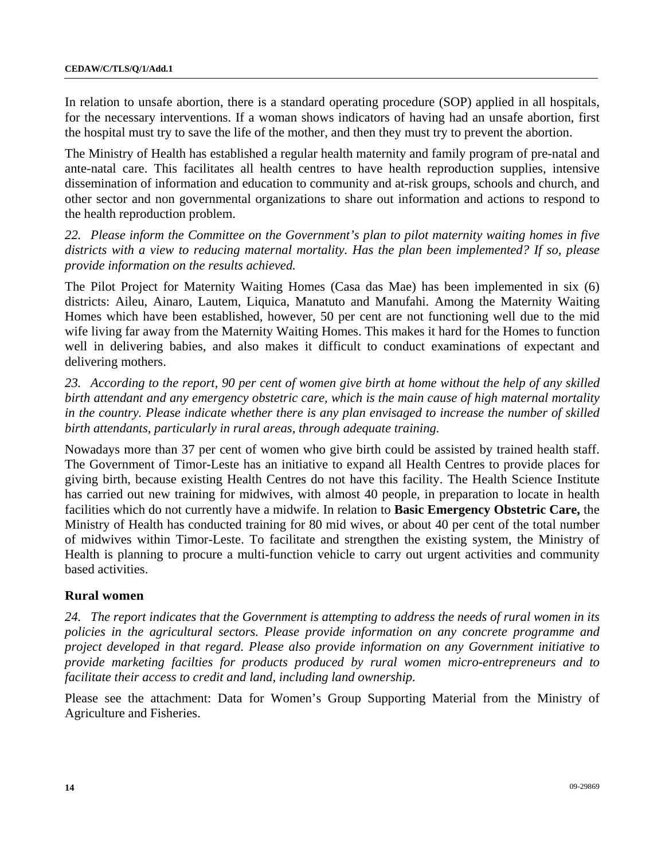In relation to unsafe abortion, there is a standard operating procedure (SOP) applied in all hospitals, for the necessary interventions. If a woman shows indicators of having had an unsafe abortion, first the hospital must try to save the life of the mother, and then they must try to prevent the abortion.

The Ministry of Health has established a regular health maternity and family program of pre-natal and ante-natal care. This facilitates all health centres to have health reproduction supplies, intensive dissemination of information and education to community and at-risk groups, schools and church, and other sector and non governmental organizations to share out information and actions to respond to the health reproduction problem.

*22. Please inform the Committee on the Government's plan to pilot maternity waiting homes in five districts with a view to reducing maternal mortality. Has the plan been implemented? If so, please provide information on the results achieved.* 

The Pilot Project for Maternity Waiting Homes (Casa das Mae) has been implemented in six (6) districts: Aileu, Ainaro, Lautem, Liquica, Manatuto and Manufahi. Among the Maternity Waiting Homes which have been established, however, 50 per cent are not functioning well due to the mid wife living far away from the Maternity Waiting Homes. This makes it hard for the Homes to function well in delivering babies, and also makes it difficult to conduct examinations of expectant and delivering mothers.

*23. According to the report, 90 per cent of women give birth at home without the help of any skilled birth attendant and any emergency obstetric care, which is the main cause of high maternal mortality in the country. Please indicate whether there is any plan envisaged to increase the number of skilled birth attendants, particularly in rural areas, through adequate training.* 

Nowadays more than 37 per cent of women who give birth could be assisted by trained health staff. The Government of Timor-Leste has an initiative to expand all Health Centres to provide places for giving birth, because existing Health Centres do not have this facility. The Health Science Institute has carried out new training for midwives, with almost 40 people, in preparation to locate in health facilities which do not currently have a midwife. In relation to **Basic Emergency Obstetric Care,** the Ministry of Health has conducted training for 80 mid wives, or about 40 per cent of the total number of midwives within Timor-Leste. To facilitate and strengthen the existing system, the Ministry of Health is planning to procure a multi-function vehicle to carry out urgent activities and community based activities.

### **Rural women**

*24. The report indicates that the Government is attempting to address the needs of rural women in its policies in the agricultural sectors. Please provide information on any concrete programme and project developed in that regard. Please also provide information on any Government initiative to provide marketing facilties for products produced by rural women micro-entrepreneurs and to facilitate their access to credit and land, including land ownership.* 

Please see the attachment: Data for Women's Group Supporting Material from the Ministry of Agriculture and Fisheries.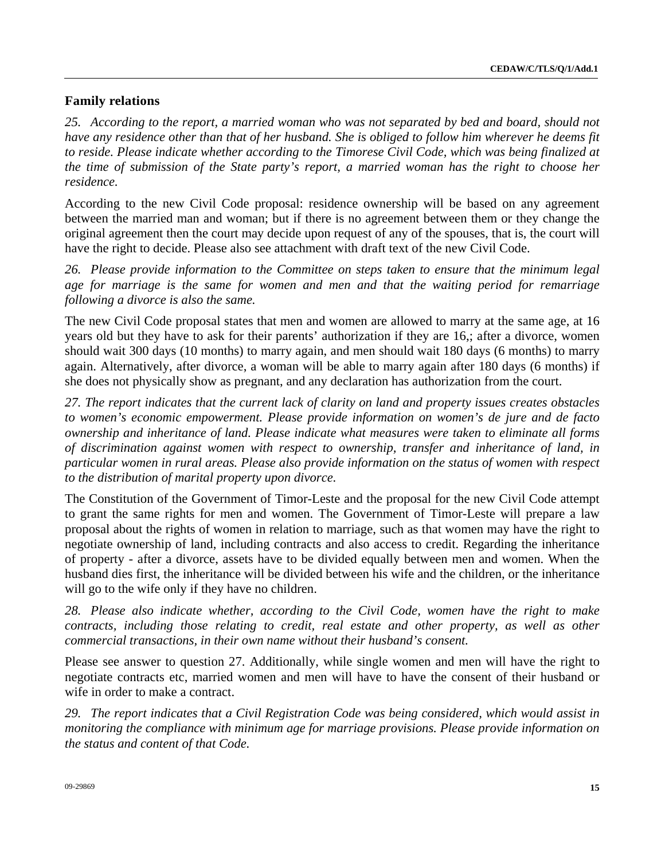# **Family relations**

*25. According to the report, a married woman who was not separated by bed and board, should not have any residence other than that of her husband. She is obliged to follow him wherever he deems fit to reside. Please indicate whether according to the Timorese Civil Code, which was being finalized at the time of submission of the State party's report, a married woman has the right to choose her residence.* 

According to the new Civil Code proposal: residence ownership will be based on any agreement between the married man and woman; but if there is no agreement between them or they change the original agreement then the court may decide upon request of any of the spouses, that is, the court will have the right to decide. Please also see attachment with draft text of the new Civil Code.

*26. Please provide information to the Committee on steps taken to ensure that the minimum legal*  age for marriage is the same for women and men and that the waiting period for remarriage *following a divorce is also the same.* 

The new Civil Code proposal states that men and women are allowed to marry at the same age, at 16 years old but they have to ask for their parents' authorization if they are 16,; after a divorce, women should wait 300 days (10 months) to marry again, and men should wait 180 days (6 months) to marry again. Alternatively, after divorce, a woman will be able to marry again after 180 days (6 months) if she does not physically show as pregnant, and any declaration has authorization from the court.

*27. The report indicates that the current lack of clarity on land and property issues creates obstacles to women's economic empowerment. Please provide information on women's de jure and de facto ownership and inheritance of land. Please indicate what measures were taken to eliminate all forms of discrimination against women with respect to ownership, transfer and inheritance of land, in particular women in rural areas. Please also provide information on the status of women with respect to the distribution of marital property upon divorce.* 

The Constitution of the Government of Timor-Leste and the proposal for the new Civil Code attempt to grant the same rights for men and women. The Government of Timor-Leste will prepare a law proposal about the rights of women in relation to marriage, such as that women may have the right to negotiate ownership of land, including contracts and also access to credit. Regarding the inheritance of property - after a divorce, assets have to be divided equally between men and women. When the husband dies first, the inheritance will be divided between his wife and the children, or the inheritance will go to the wife only if they have no children.

*28. Please also indicate whether, according to the Civil Code, women have the right to make contracts, including those relating to credit, real estate and other property, as well as other commercial transactions, in their own name without their husband's consent.* 

Please see answer to question 27. Additionally, while single women and men will have the right to negotiate contracts etc, married women and men will have to have the consent of their husband or wife in order to make a contract.

*29. The report indicates that a Civil Registration Code was being considered, which would assist in monitoring the compliance with minimum age for marriage provisions. Please provide information on the status and content of that Code.*